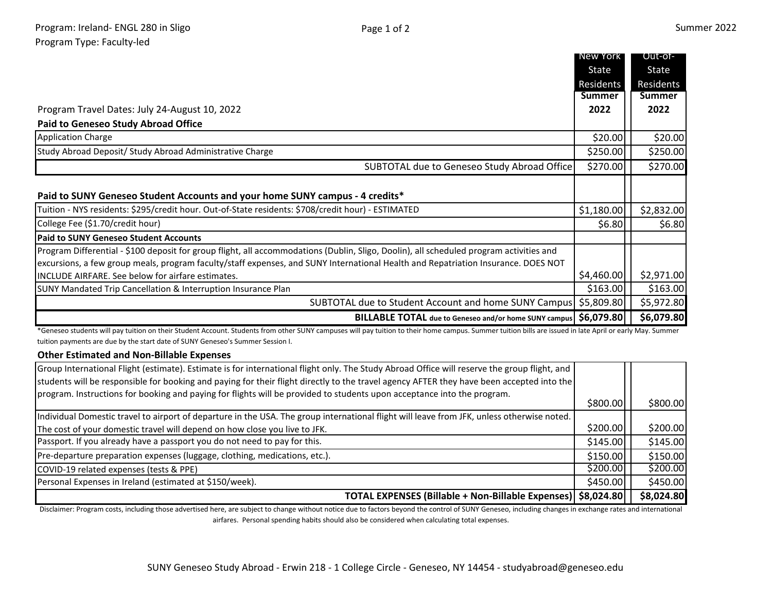|                                                                                                                                                                                                                                                                                            | New York      | Out-of-       |
|--------------------------------------------------------------------------------------------------------------------------------------------------------------------------------------------------------------------------------------------------------------------------------------------|---------------|---------------|
|                                                                                                                                                                                                                                                                                            | State         | State         |
|                                                                                                                                                                                                                                                                                            | Residents     | Residents     |
|                                                                                                                                                                                                                                                                                            | <b>Summer</b> | <b>Summer</b> |
| Program Travel Dates: July 24-August 10, 2022                                                                                                                                                                                                                                              | 2022          | 2022          |
| <b>Paid to Geneseo Study Abroad Office</b>                                                                                                                                                                                                                                                 |               |               |
| <b>Application Charge</b>                                                                                                                                                                                                                                                                  | \$20.00       | \$20.00       |
| Study Abroad Deposit/ Study Abroad Administrative Charge                                                                                                                                                                                                                                   | \$250.00      | \$250.00      |
| SUBTOTAL due to Geneseo Study Abroad Office                                                                                                                                                                                                                                                | \$270.00      | \$270.00      |
| Paid to SUNY Geneseo Student Accounts and your home SUNY campus - 4 credits*                                                                                                                                                                                                               |               |               |
| Tuition - NYS residents: \$295/credit hour. Out-of-State residents: \$708/credit hour) - ESTIMATED                                                                                                                                                                                         | \$1,180.00    | \$2,832.00    |
| College Fee (\$1.70/credit hour)                                                                                                                                                                                                                                                           | \$6.80        | \$6.80        |
| <b>Paid to SUNY Geneseo Student Accounts</b>                                                                                                                                                                                                                                               |               |               |
| Program Differential - \$100 deposit for group flight, all accommodations (Dublin, Sligo, Doolin), all scheduled program activities and                                                                                                                                                    |               |               |
| excursions, a few group meals, program faculty/staff expenses, and SUNY International Health and Repatriation Insurance. DOES NOT                                                                                                                                                          |               |               |
| INCLUDE AIRFARE. See below for airfare estimates.                                                                                                                                                                                                                                          | \$4,460.00    | \$2,971.00    |
| SUNY Mandated Trip Cancellation & Interruption Insurance Plan                                                                                                                                                                                                                              | \$163.00      | \$163.00      |
| SUBTOTAL due to Student Account and home SUNY Campus \$5,809.80                                                                                                                                                                                                                            |               | \$5,972.80    |
| BILLABLE TOTAL due to Geneseo and/or home SUNY campus   \$6,079.80                                                                                                                                                                                                                         |               | \$6,079.80    |
| *Geneseo students will pay tuition on their Student Account. Students from other SUNY campuses will pay tuition to their home campus. Summer tuition bills are issued in late April or early May. Summer<br>tuition payments are due by the start date of SUNY Geneseo's Summer Session I. |               |               |

## **Other Estimated and Non-Billable Expenses**

| Group International Flight (estimate). Estimate is for international flight only. The Study Abroad Office will reserve the group flight, and |          |            |
|----------------------------------------------------------------------------------------------------------------------------------------------|----------|------------|
| students will be responsible for booking and paying for their flight directly to the travel agency AFTER they have been accepted into the    |          |            |
| program. Instructions for booking and paying for flights will be provided to students upon acceptance into the program.                      |          |            |
|                                                                                                                                              | \$800.00 | \$800.00   |
| Individual Domestic travel to airport of departure in the USA. The group international flight will leave from JFK, unless otherwise noted.   |          |            |
| The cost of your domestic travel will depend on how close you live to JFK.                                                                   | \$200.00 | \$200.00]  |
| Passport. If you already have a passport you do not need to pay for this.                                                                    | \$145.00 | \$145.00   |
| Pre-departure preparation expenses (luggage, clothing, medications, etc.).                                                                   | \$150.00 | \$150.00   |
| COVID-19 related expenses (tests & PPE)                                                                                                      | \$200.00 | \$200.00]  |
| Personal Expenses in Ireland (estimated at \$150/week).                                                                                      | \$450.00 | \$450.00   |
| TOTAL EXPENSES (Billable + Non-Billable Expenses)   \$8,024.80                                                                               |          | \$8,024.80 |

Disclaimer: Program costs, including those advertised here, are subject to change without notice due to factors beyond the control of SUNY Geneseo, including changes in exchange rates and international airfares. Personal spending habits should also be considered when calculating total expenses.